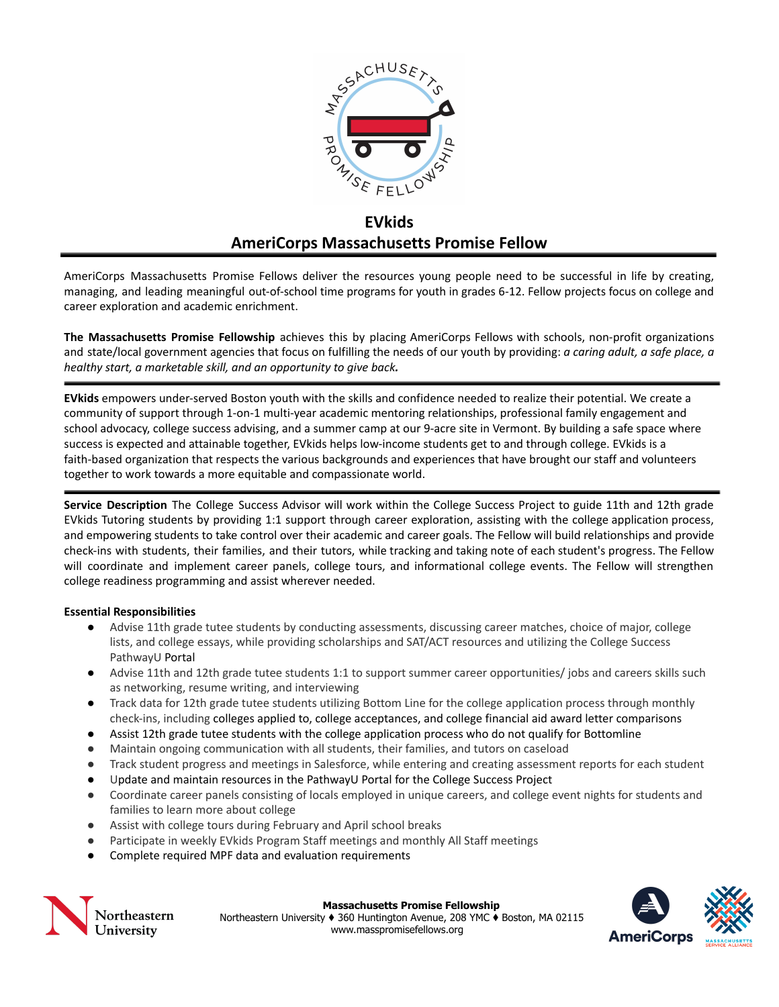

# **EVkids AmeriCorps Massachusetts Promise Fellow**

AmeriCorps Massachusetts Promise Fellows deliver the resources young people need to be successful in life by creating, managing, and leading meaningful out-of-school time programs for youth in grades 6-12. Fellow projects focus on college and career exploration and academic enrichment.

**The Massachusetts Promise Fellowship** achieves this by placing AmeriCorps Fellows with schools, non-profit organizations and state/local government agencies that focus on fulfilling the needs of our youth by providing: *a caring adult, a safe place, a healthy start, a marketable skill, and an opportunity to give back.*

**EVkids** empowers under-served Boston youth with the skills and confidence needed to realize their potential. We create a community of support through 1-on-1 multi-year academic mentoring relationships, professional family engagement and school advocacy, college success advising, and a summer camp at our 9-acre site in Vermont. By building a safe space where success is expected and attainable together, EVkids helps low-income students get to and through college. EVkids is a faith-based organization that respects the various backgrounds and experiences that have brought our staff and volunteers together to work towards a more equitable and compassionate world.

**Service Description** The College Success Advisor will work within the College Success Project to guide 11th and 12th grade EVkids Tutoring students by providing 1:1 support through career exploration, assisting with the college application process, and empowering students to take control over their academic and career goals. The Fellow will build relationships and provide check-ins with students, their families, and their tutors, while tracking and taking note of each student's progress. The Fellow will coordinate and implement career panels, college tours, and informational college events. The Fellow will strengthen college readiness programming and assist wherever needed.

## **Essential Responsibilities**

- Advise 11th grade tutee students by conducting assessments, discussing career matches, choice of major, college lists, and college essays, while providing scholarships and SAT/ACT resources and utilizing the College Success PathwayU Portal
- Advise 11th and 12th grade tutee students 1:1 to support summer career opportunities/ jobs and careers skills such as networking, resume writing, and interviewing
- Track data for 12th grade tutee students utilizing Bottom Line for the college application process through monthly check-ins, including colleges applied to, college acceptances, and college financial aid award letter comparisons
- Assist 12th grade tutee students with the college application process who do not qualify for Bottomline
- Maintain ongoing communication with all students, their families, and tutors on caseload
- Track student progress and meetings in Salesforce, while entering and creating assessment reports for each student
- Update and maintain resources in the PathwayU Portal for the College Success Project
- Coordinate career panels consisting of locals employed in unique careers, and college event nights for students and families to learn more about college
- Assist with college tours during February and April school breaks
- Participate in weekly EVkids Program Staff meetings and monthly All Staff meetings
- Complete required MPF data and evaluation requirements



#### **Massachusetts Promise Fellowship**

Northeastern University ♦ 360 Huntington Avenue, 208 YMC ♦ Boston, MA 02115 www.masspromisefellows.org